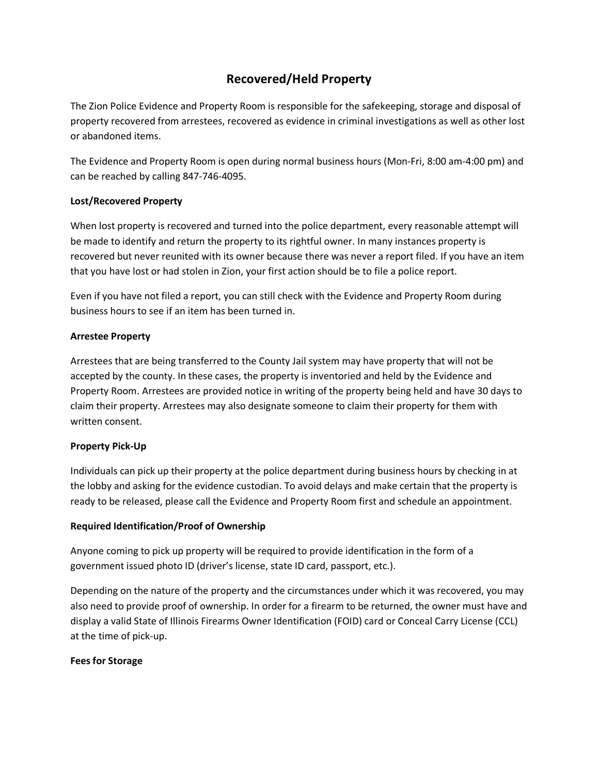# **Recovered/Held Property**

The Zion Police Evidence and Property Room is responsible for the safekeeping, storage and disposal of property recovered from arrestees, recovered as evidence in criminal investigations as well as other lost or abandoned items.

The Evidence and Property Room is open during normal business hours (Mon-Fri, 8:00 am-4:00 pm) and can be reached by calling 847-746-4095.

# **Lost/Recovered Property**

When lost property is recovered and turned into the police department, every reasonable attempt will be made to identify and return the property to its rightful owner. In many instances property is recovered but never reunited with its owner because there was never a report filed. If you have an item that you have lost or had stolen in Zion, your first action should be to file a police report.

Even if you have not filed a report, you can still check with the Evidence and Property Room during business hours to see if an item has been turned in.

### **Arrestee Property**

Arrestees that are being transferred to the County Jail system may have property that will not be accepted by the county. In these cases, the property is inventoried and held by the Evidence and Property Room. Arrestees are provided notice in writing of the property being held and have 30 days to claim their property. Arrestees may also designate someone to claim their property for them with written consent.

# **Property Pick-Up**

Individuals can pick up their property at the police department during business hours by checking in at the lobby and asking for the evidence custodian. To avoid delays and make certain that the property is ready to be released, please call the Evidence and Property Room first and schedule an appointment.

#### **Required Identification/Proof of Ownership**

Anyone coming to pick up property will be required to provide identification in the form of a government issued photo ID (driver's license, state ID card, passport, etc.).

Depending on the nature of the property and the circumstances under which it was recovered, you may also need to provide proof of ownership. In order for a firearm to be returned, the owner must have and display a valid State of Illinois Firearms Owner Identification (FOID) card or Conceal Carry License (CCL) at the time of pick-up.

#### **Fees for Storage**